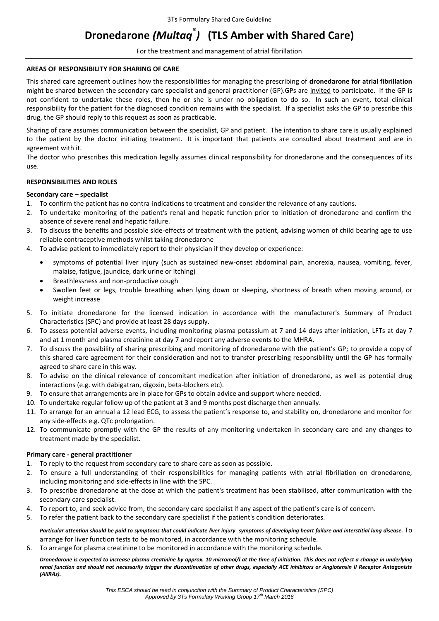# **Dronedarone** *(Multaq® )* **(TLS Amber with Shared Care)**

For the treatment and management of atrial fibrillation

## **AREAS OF RESPONSIBILITY FOR SHARING OF CARE**

This shared care agreement outlines how the responsibilities for managing the prescribing of **dronedarone for atrial fibrillation** might be shared between the secondary care specialist and general practitioner (GP).GPs are invited to participate. If the GP is not confident to undertake these roles, then he or she is under no obligation to do so. In such an event, total clinical responsibility for the patient for the diagnosed condition remains with the specialist. If a specialist asks the GP to prescribe this drug, the GP should reply to this request as soon as practicable.

Sharing of care assumes communication between the specialist, GP and patient. The intention to share care is usually explained to the patient by the doctor initiating treatment. It is important that patients are consulted about treatment and are in agreement with it.

The doctor who prescribes this medication legally assumes clinical responsibility for dronedarone and the consequences of its use.

# **RESPONSIBILITIES AND ROLES**

# **Secondary care – specialist**

1. To confirm the patient has no contra-indications to treatment and consider the relevance of any cautions.

- 2. To undertake monitoring of the patient's renal and hepatic function prior to initiation of dronedarone and confirm the absence of severe renal and hepatic failure.
- 3. To discuss the benefits and possible side-effects of treatment with the patient, advising women of child bearing age to use reliable contraceptive methods whilst taking dronedarone
- 4. To advise patient to immediately report to their physician if they develop or experience:
	- symptoms of potential liver injury (such as sustained new-onset abdominal pain, anorexia, nausea, vomiting, fever, malaise, fatigue, jaundice, dark urine or itching)
	- Breathlessness and non-productive cough
	- Swollen feet or legs, trouble breathing when lying down or sleeping, shortness of breath when moving around, or weight increase
- 5. To initiate dronedarone for the licensed indication in accordance with the manufacturer's Summary of Product Characteristics (SPC) and provide at least 28 days supply.
- 6. To assess potential adverse events, including monitoring plasma potassium at 7 and 14 days after initiation, LFTs at day 7 and at 1 month and plasma creatinine at day 7 and report any adverse events to the MHRA.
- 7. To discuss the possibility of sharing prescribing and monitoring of dronedarone with the patient's GP; to provide a copy of this shared care agreement for their consideration and not to transfer prescribing responsibility until the GP has formally agreed to share care in this way.
- 8. To advise on the clinical relevance of concomitant medication after initiation of dronedarone, as well as potential drug interactions (e.g. with dabigatran, digoxin, beta-blockers etc).
- 9. To ensure that arrangements are in place for GPs to obtain advice and support where needed.
- 10. To undertake regular follow up of the patient at 3 and 9 months post discharge then annually.
- 11. To arrange for an annual a 12 lead ECG, to assess the patient's response to, and stability on, dronedarone and monitor for any side-effects e.g. QTc prolongation.
- 12. To communicate promptly with the GP the results of any monitoring undertaken in secondary care and any changes to treatment made by the specialist.

# **Primary care - general practitioner**

- 1. To reply to the request from secondary care to share care as soon as possible.
- 2. To ensure a full understanding of their responsibilities for managing patients with atrial fibrillation on dronedarone, including monitoring and side-effects in line with the SPC.
- 3. To prescribe dronedarone at the dose at which the patient's treatment has been stabilised, after communication with the secondary care specialist.
- 4. To report to, and seek advice from, the secondary care specialist if any aspect of the patient's care is of concern.
- 5. To refer the patient back to the secondary care specialist if the patient's condition deteriorates.

*Particular attention should be paid to symptoms that could indicate liver injury symptoms of developing heart failure and interstitial lung disease.* To arrange for liver function tests to be monitored, in accordance with the monitoring schedule.

6. To arrange for plasma creatinine to be monitored in accordance with the monitoring schedule.

*Dronedarone is expected to increase plasma creatinine by approx. 10 micromol/l at the time of initiation. This does not reflect a change in underlying renal function and should not necessarily trigger the discontinuation of other drugs, especially ACE inhibitors or Angiotensin II Receptor Antagonists (AIIRAs).*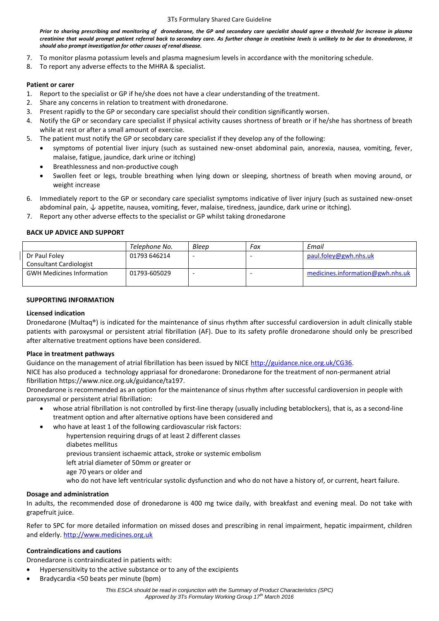*Prior to sharing prescribing and monitoring of dronedarone, the GP and secondary care specialist should agree a threshold for increase in plasma creatinine that would prompt patient referral back to secondary care. As further change in creatinine levels is unlikely to be due to dronedarone, it should also prompt investigation for other causes of renal disease.*

- 7. To monitor plasma potassium levels and plasma magnesium levels in accordance with the monitoring schedule.
- 8. To report any adverse effects to the MHRA & specialist.

# **Patient or carer**

- 1. Report to the specialist or GP if he/she does not have a clear understanding of the treatment.
- 2. Share any concerns in relation to treatment with dronedarone.
- 3. Present rapidly to the GP or secondary care specialist should their condition significantly worsen.
- 4. Notify the GP or secondary care specialist if physical activity causes shortness of breath or if he/she has shortness of breath while at rest or after a small amount of exercise.
- 5. The patient must notify the GP or secobdary care specialist if they develop any of the following:
	- symptoms of potential liver injury (such as sustained new-onset abdominal pain, anorexia, nausea, vomiting, fever, malaise, fatigue, jaundice, dark urine or itching)
	- Breathlessness and non-productive cough
	- Swollen feet or legs, trouble breathing when lying down or sleeping, shortness of breath when moving around, or weight increase
- 6. Immediately report to the GP or secondary care specialist symptoms indicative of liver injury (such as sustained new-onset abdominal pain, ↓ appetite, nausea, vomiting, fever, malaise, tiredness, jaundice, dark urine or itching).
- 7. Report any other adverse effects to the specialist or GP whilst taking dronedarone

# **BACK UP ADVICE AND SUPPORT**

|                                  | Telephone No. | Bleep | Fax | Email                            |
|----------------------------------|---------------|-------|-----|----------------------------------|
| Dr Paul Foley                    | 01793 646214  |       |     | paul.foley@gwh.nhs.uk            |
| Consultant Cardiologist          |               |       |     |                                  |
| <b>GWH Medicines Information</b> | 01793-605029  |       |     | medicines.information@gwh.nhs.uk |
|                                  |               |       |     |                                  |

# **SUPPORTING INFORMATION**

# **Licensed indication**

Dronedarone (Multaq®) is indicated for the maintenance of sinus rhythm after successful cardioversion in adult clinically stable patients with paroxysmal or persistent atrial fibrillation (AF). Due to its safety profile dronedarone should only be prescribed after alternative treatment options have been considered.

# **Place in treatment pathways**

Guidance on the management of atrial fibrillation has been issued by NICE [http://guidance.nice.org.uk/CG36.](http://guidance.nice.org.uk/CG36)

NICE has also produced a technology appriasal for dronedarone: Dronedarone for the treatment of non-permanent atrial fibrillation https://www.nice.org.uk/guidance/ta197.

Dronedarone is recommended as an option for the maintenance of sinus rhythm after successful cardioversion in people with paroxysmal or persistent atrial fibrillation:

- whose atrial fibrillation is not controlled by first-line therapy (usually including betablockers), that is, as a second-line treatment option and after alternative options have been considered and
	- who have at least 1 of the following cardiovascular risk factors:
		- hypertension requiring drugs of at least 2 different classes
		- diabetes mellitus
		- previous transient ischaemic attack, stroke or systemic embolism
		- left atrial diameter of 50mm or greater or
		- age 70 years or older and
		- who do not have left ventricular systolic dysfunction and who do not have a history of, or current, heart failure.

# **Dosage and administration**

In adults, the recommended dose of dronedarone is 400 mg twice daily, with breakfast and evening meal. Do not take with grapefruit juice.

Refer to SPC for more detailed information on missed doses and prescribing in renal impairment, hepatic impairment, children and elderly. [http://www.medicines.org.uk](http://www.medicines.org.uk/)

# **Contraindications and cautions**

Dronedarone is contraindicated in patients with:

- Hypersensitivity to the active substance or to any of the excipients
- Bradycardia <50 beats per minute (bpm)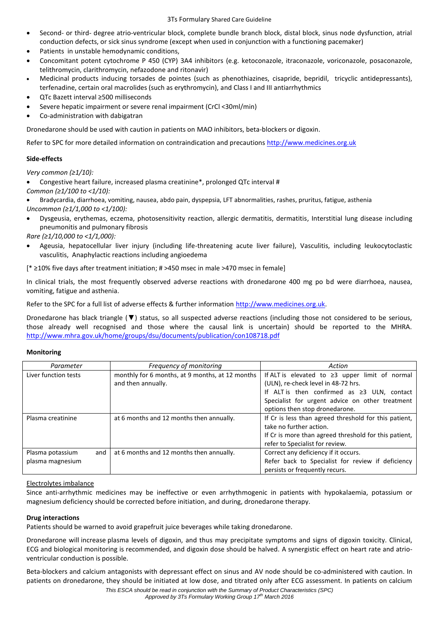- Second- or third- degree atrio-ventricular block, complete bundle branch block, distal block, sinus node dysfunction, atrial conduction defects, or sick sinus syndrome (except when used in conjunction with a functioning pacemaker)
- Patients in unstable hemodynamic conditions,
- Concomitant potent cytochrome P 450 (CYP) 3A4 inhibitors (e.g. ketoconazole, itraconazole, voriconazole, posaconazole, telithromycin, clarithromycin, nefazodone and ritonavir)
- Medicinal products inducing torsades de pointes (such as phenothiazines, cisapride, bepridil, tricyclic antidepressants), terfenadine, certain oral macrolides (such as erythromycin), and Class I and III antiarrhythmics
- QTc Bazett interval ≥500 milliseconds
- Severe hepatic impairment or severe renal impairment (CrCl <30ml/min)
- Co-administration with dabigatran

Dronedarone should be used with caution in patients on MAO inhibitors, beta-blockers or digoxin.

Refer to SPC for more detailed information on contraindication and precautions [http://www.medicines.org.uk](http://www.medicines.org.uk/)

# **Side-effects**

*Very common (≥1/10):*

Congestive heart failure, increased plasma creatinine\*, prolonged QTc interval #

*Common (≥1/100 to <1/10):*

 Bradycardia, diarrhoea, vomiting, nausea, abdo pain, dyspepsia, LFT abnormalities, rashes, pruritus, fatigue, asthenia *Uncommon (≥1/1,000 to <1/100):*

 Dysgeusia, erythemas, eczema, photosensitivity reaction, allergic dermatitis, dermatitis, Interstitial lung disease including pneumonitis and pulmonary fibrosis

*Rare (≥1/10,000 to <1/1,000):*

 Ageusia, hepatocellular liver injury (including life-threatening acute liver failure), Vasculitis, including leukocytoclastic vasculitis, Anaphylactic reactions including angioedema

[\* ≥10% five days after treatment initiation; # >450 msec in male >470 msec in female]

In clinical trials, the most frequently observed adverse reactions with dronedarone 400 mg po bd were diarrhoea, nausea, vomiting, fatigue and asthenia.

Refer to the SPC for a full list of adverse effects & further information [http://www.medicines.org.uk.](http://www.medicines.org.uk/)

Dronedarone has black triangle (▼) status, so all suspected adverse reactions (including those not considered to be serious, those already well recognised and those where the causal link is uncertain) should be reported to the MHRA. <http://www.mhra.gov.uk/home/groups/dsu/documents/publication/con108718.pdf>

# **Monitoring**

| Parameter               | Frequency of monitoring                         | Action                                                |  |
|-------------------------|-------------------------------------------------|-------------------------------------------------------|--|
| Liver function tests    | monthly for 6 months, at 9 months, at 12 months | If ALT is elevated to $\geq$ 3 upper limit of normal  |  |
|                         | and then annually.                              | (ULN), re-check level in 48-72 hrs.                   |  |
|                         |                                                 | If ALT is then confirmed as $\geq 3$ ULN, contact     |  |
|                         |                                                 | Specialist for urgent advice on other treatment       |  |
|                         |                                                 | options then stop dronedarone.                        |  |
| Plasma creatinine       | at 6 months and 12 months then annually.        | If Cr is less than agreed threshold for this patient, |  |
|                         |                                                 | take no further action.                               |  |
|                         |                                                 | If Cr is more than agreed threshold for this patient, |  |
|                         |                                                 | refer to Specialist for review.                       |  |
| Plasma potassium<br>and | at 6 months and 12 months then annually.        | Correct any deficiency if it occurs.                  |  |
| plasma magnesium        |                                                 | Refer back to Specialist for review if deficiency     |  |
|                         |                                                 | persists or frequently recurs.                        |  |

# Electrolytes imbalance

Since anti-arrhythmic medicines may be ineffective or even arrhythmogenic in patients with hypokalaemia, potassium or magnesium deficiency should be corrected before initiation, and during, dronedarone therapy.

# **Drug interactions**

Patients should be warned to avoid grapefruit juice beverages while taking dronedarone.

Dronedarone will increase plasma levels of digoxin, and thus may precipitate symptoms and signs of digoxin toxicity. Clinical, ECG and biological monitoring is recommended, and digoxin dose should be halved. A synergistic effect on heart rate and atrioventricular conduction is possible.

Beta-blockers and calcium antagonists with depressant effect on sinus and AV node should be co-administered with caution. In patients on dronedarone, they should be initiated at low dose, and titrated only after ECG assessment. In patients on calcium

*This ESCA should be read in conjunction with the Summary of Product Characteristics (SPC)* 

*Approved by 3Ts Formulary Working Group 17th March 2016*